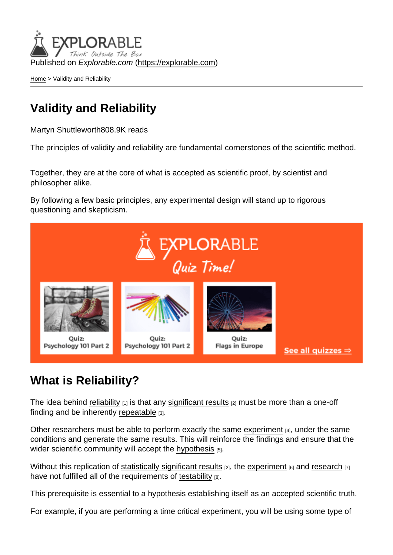Published on Explorable.com (<https://explorable.com>)

[Home](https://explorable.com/) > Validity and Reliability

# Validity and Reliability

Martyn Shuttleworth808.9K reads

The principles of validity and reliability are fundamental cornerstones of the scientific method.

Together, they are at the core of what is accepted as scientific proof, by scientist and philosopher alike.

By following a few basic principles, any experimental design will stand up to rigorous questioning and skepticism.

## What is Reliability?

The idea behind [reliability](https://explorable.com/definition-of-reliability)  $[1]$  is that any [significant results](https://explorable.com/statistically-significant-results)  $[2]$  must be more than a one-off finding and be inherently [repeatable](https://explorable.com/reproducibility) [3].

Other researchers must be able to perform exactly the same [experiment](https://explorable.com/conducting-an-experiment) [4], under the same conditions and generate the same results. This will reinforce the findings and ensure that the wider scientific community will accept the [hypothesis](https://explorable.com/research-hypothesis) [5].

Without this replication of [statistically significant results](https://explorable.com/statistically-significant-results)  $[2]$ , the [experiment](https://explorable.com/experimental-research)  $[6]$  and [research](https://explorable.com/what-is-research)  $[7]$ have not fulfilled all of the requirements of [testability](https://explorable.com/testability) [8].

This prerequisite is essential to a hypothesis establishing itself as an accepted scientific truth.

For example, if you are performing a time critical experiment, you will be using some type of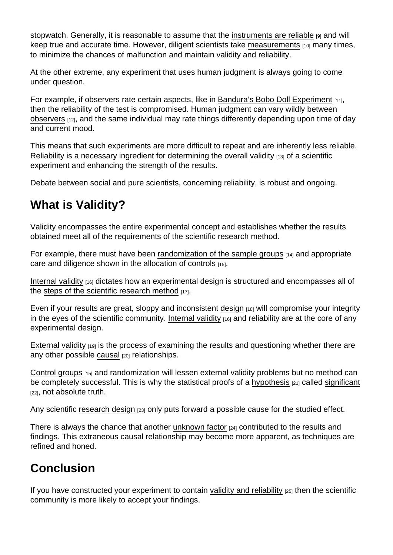stopwatch. Generally, it is reasonable to assume that the [instruments are reliable](https://explorable.com/instrument-reliability) [9] and will keep true and accurate time. However, diligent scientists take [measurements](https://explorable.com/scientific-measurements) <sub>[10]</sub> many times, to minimize the chances of malfunction and maintain validity and reliability.

At the other extreme, any experiment that uses human judgment is always going to come under question.

For example, if observers rate certain aspects, like in [Bandura's Bobo Doll Experiment](https://explorable.com/bobo-doll-experiment) [11], then the reliability of the test is compromised. Human judgment can vary wildly between [observers](https://explorable.com/interrater-reliability) [12], and the same individual may rate things differently depending upon time of day and current mood.

This means that such experiments are more difficult to repeat and are inherently less reliable. Reliability is a necessary ingredient for determining the overall [validity](https://explorable.com/types-of-validity) [13] of a scientific experiment and enhancing the strength of the results.

Debate between social and pure scientists, concerning reliability, is robust and ongoing.

# What is Validity?

Validity encompasses the entire experimental concept and establishes whether the results obtained meet all of the requirements of the scientific research method.

For example, there must have been [randomization of the sample groups](https://explorable.com/random-sampling-error)  $[14]$  and appropriate care and diligence shown in the allocation of [controls](https://explorable.com/scientific-control-group) [15].

[Internal validity](https://explorable.com/internal-validity)  $[16]$  dictates how an experimental design is structured and encompasses all of the [steps of the scientific research method](https://explorable.com/steps-of-the-scientific-method)  $[17]$ .

Even if your results are great, sloppy and inconsistent [design](https://explorable.com/design-of-experiment)  $[18]$  will compromise your integrity in the eyes of the scientific community. [Internal validity](https://explorable.com/internal-validity)  $[16]$  and reliability are at the core of any experimental design.

[External validity](https://explorable.com/external-validity)  $[19]$  is the process of examining the results and questioning whether there are any other possible [causal](https://explorable.com/cause-and-effect) [20] relationships.

[Control groups](https://explorable.com/scientific-control-group)  $1151$  and randomization will lessen external validity problems but no method can be completely successful. This is why the statistical proofs of a [hypothesis](https://explorable.com/hypothesis-testing) [21] called [significant](https://explorable.com/significance-test) [22], not absolute truth.

Any scientific [research design](https://explorable.com/research-designs) [23] only puts forward a possible cause for the studied effect.

There is always the chance that another [unknown factor](https://explorable.com/confounding-variables) [24] contributed to the results and findings. This extraneous causal relationship may become more apparent, as techniques are refined and honed.

## Conclusion

If you have constructed your experiment to contain [validity and reliability](http://writing.colostate.edu/guides/research/relval/)  $[25]$  then the scientific community is more likely to accept your findings.